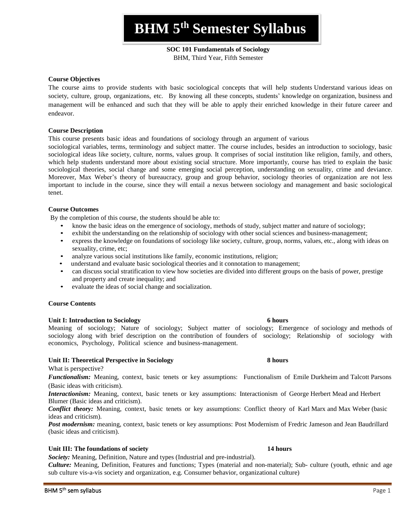**BHM 5th Semester Syllabus**

**SOC 101 Fundamentals of Sociology** BHM, Third Year, Fifth Semester

#### **Course Objectives**

The course aims to provide students with basic sociological concepts that will help students Understand various ideas on society, culture, group, organizations, etc. By knowing all these concepts, students' knowledge on organization, business and management will be enhanced and such that they will be able to apply their enriched knowledge in their future career and endeavor.

### **Course Description**

This course presents basic ideas and foundations of sociology through an argument of various

sociological variables, terms, terminology and subject matter. The course includes, besides an introduction to sociology, basic sociological ideas like society, culture, norms, values group. It comprises of social institution like religion, family, and others, which help students understand more about existing social structure. More importantly, course has tried to explain the basic sociological theories, social change and some emerging social perception, understanding on sexuality, crime and deviance. Moreover, Max Weber's theory of bureaucracy, group and group behavior, sociology theories of organization are not less important to include in the course, since they will entail a nexus between sociology and management and basic sociological tenet.

### **Course Outcomes**

By the completion of this course, the students should be able to:

- know the basic ideas on the emergence of sociology, methods of study, subject matter and nature of sociology;
- exhibit the understanding on the relationship of sociology with other social sciences and business-management;
- express the knowledge on foundations of sociology like society, culture, group, norms, values, etc., along with ideas on sexuality, crime, etc;
- analyze various social institutions like family, economic institutions, religion;
- understand and evaluate basic sociological theories and it connotation to management;
- can discuss social stratification to view how societies are divided into different groups on the basis of power, prestige and property and create inequality; and
- evaluate the ideas of social change and socialization.

# **Course Contents**

# **Unit I: Introduction to Sociology 6 hours**

Meaning of sociology; Nature of sociology; Subject matter of sociology; Emergence of sociology and methods of sociology along with brief description on the contribution of founders of sociology; Relationship of sociology with economics, Psychology, Political science and business-management.

# **Unit II: Theoretical Perspective in Sociology 8 hours**

What is perspective?

*Functionalism:* Meaning, context, basic tenets or key assumptions: Functionalism of Emile Durkheim and Talcott Parsons (Basic ideas with criticism).

*Interactionism:* Meaning, context, basic tenets or key assumptions: Interactionism of George Herbert Mead and Herbert Blumer (Basic ideas and criticism).

*Conflict theory:* Meaning, context, basic tenets or key assumptions: Conflict theory of Karl Marx and Max Weber (basic ideas and criticism).

*Post modernism:* meaning, context, basic tenets or key assumptions: Post Modernism of Fredric Jameson and Jean Baudrillard (basic ideas and criticism).

# **Unit III: The foundations of society 14 hours**

*Society:* Meaning, Definition, Nature and types (Industrial and pre-industrial).

*Culture:* Meaning, Definition, Features and functions; Types (material and non-material); Sub- culture (youth, ethnic and age sub culture vis-a-vis society and organization, e.g. Consumer behavior, organizational culture)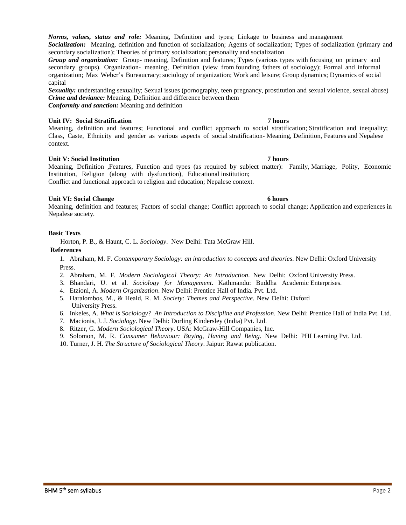#### *Norms, values, status and role:* Meaning, Definition and types; Linkage to business and management *Socialization:* Meaning, definition and function of socialization; Agents of socialization; Types of socialization (primary and secondary socialization); Theories of primary socialization; personality and socialization

*Group and organization:* Group- meaning, Definition and features; Types (various types with focusing on primary and secondary groups). Organization- meaning, Definition (view from founding fathers of sociology); Formal and informal organization; Max Weber's Bureaucracy; sociology of organization; Work and leisure; Group dynamics; Dynamics of social capital

*Sexuality:* understanding sexuality; Sexual issues (pornography, teen pregnancy, prostitution and sexual violence, sexual abuse) *Crime and deviance:* Meaning, Definition and difference between them *Conformity and sanction:* Meaning and definition

# **Unit IV: Social Stratification 7 hours**

Meaning, definition and features; Functional and conflict approach to social stratification; Stratification and inequality; Class, Caste, Ethnicity and gender as various aspects of social stratification- Meaning, Definition, Features and Nepalese context.

# **Unit V: Social Institution 7 hours**

Meaning, Definition ,Features, Function and types (as required by subject matter): Family, Marriage, Polity, Economic Institution, Religion (along with dysfunction), Educational institution; Conflict and functional approach to religion and education; Nepalese context.

# **Unit VI:** Social Change 6 hours **6 hours 6 hours**

Meaning, definition and features; Factors of social change; Conflict approach to social change; Application and experiences in Nepalese society.

# **Basic Texts**

Horton, P. B., & Haunt, C. L. *Sociology*. New Delhi: Tata McGraw Hill.

# **References**

1. Abraham, M. F. *Contemporary Sociology: an introduction to concepts and theories*. New Delhi: Oxford University Press.

- 2. Abraham, M. F. *Modern Sociological Theory: An Introduction*. New Delhi: Oxford University Press.
- 3. Bhandari, U. et al. *Sociology for Management*. Kathmandu: Buddha Academic Enterprises.
- 4. Etzioni, A. *Modern Organization*. New Delhi: Prentice Hall of India. Pvt. Ltd.
- 5. Haralombos, M., & Heald, R. M. *Society: Themes and Perspective*. New Delhi: Oxford University Press.
- 6. Inkeles, A. *What is Sociology? An Introduction to Discipline and Profession*. New Delhi: Prentice Hall of India Pvt. Ltd.
- 7. Macionis, J. J. *Sociology*. New Delhi: Dorling Kindersley (India) Pvt. Ltd.
- 8. Ritzer, G. *Modern Sociological Theory*. USA: McGraw-Hill Companies, Inc.
- 9. Solomon, M. R. *Consumer Behaviour: Buying, Having and Being*. New Delhi: PHI Learning Pvt. Ltd.
- 10. Turner, J. H. *The Structure of Sociological Theory*. Jaipur: Rawat publication.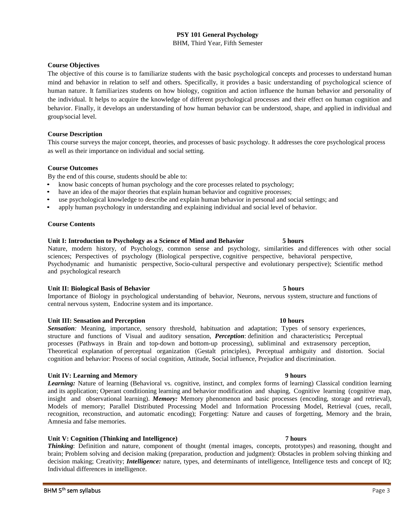# **PSY 101 General Psychology**

BHM, Third Year, Fifth Semester

### **Course Objectives**

The objective of this course is to familiarize students with the basic psychological concepts and processes to understand human mind and behavior in relation to self and others. Specifically, it provides a basic understanding of psychological science of human nature. It familiarizes students on how biology, cognition and action influence the human behavior and personality of the individual. It helps to acquire the knowledge of different psychological processes and their effect on human cognition and behavior. Finally, it develops an understanding of how human behavior can be understood, shape, and applied in individual and group/social level.

### **Course Description**

This course surveys the major concept, theories, and processes of basic psychology. It addresses the core psychological process as well as their importance on individual and social setting.

### **Course Outcomes**

By the end of this course, students should be able to:

- know basic concepts of human psychology and the core processes related to psychology;
- have an idea of the major theories that explain human behavior and cognitive processes;
- use psychological knowledge to describe and explain human behavior in personal and social settings; and
- apply human psychology in understanding and explaining individual and social level of behavior.

### **Course Contents**

### **Unit I: Introduction to Psychology as a Science of Mind and Behavior 5 hours**

Nature, modern history, of Psychology, common sense and psychology, similarities and differences with other social sciences; Perspectives of psychology (Biological perspective, cognitive perspective, behavioral perspective, Psychodynamic and humanistic perspective, Socio-cultural perspective and evolutionary perspective); Scientific method and psychological research

#### **Unit II: Biological Basis of Behavior 5 hours**

Importance of Biology in psychological understanding of behavior, Neurons, nervous system, structure and functions of central nervous system, Endocrine system and its importance.

# **Unit III: Sensation and Perception 10 hours**

*Sensation:* Meaning, importance, sensory threshold, habituation and adaptation; Types of sensory experiences, structure and functions of Visual and auditory sensation, *Perception*: definition and characteristics**;** Perceptual processes (Pathways in Brain and top-down and bottom-up processing), subliminal and extrasensory perception, Theoretical explanation of perceptual organization (Gestalt principles), Perceptual ambiguity and distortion. Social cognition and behavior: Process of social cognition, Attitude, Social influence, Prejudice and discrimination.

# **Unit IV: Learning and Memory 9 hours**

*Learning:* Nature of learning (Behavioral vs. cognitive, instinct, and complex forms of learning) Classical condition learning and its application; Operant conditioning learning and behavior modification and shaping, Cognitive learning (cognitive map, insight and observational learning). *Memory:* Memory phenomenon and basic processes (encoding, storage and retrieval), Models of memory; Parallel Distributed Processing Model and Information Processing Model, Retrieval (cues, recall, recognition, reconstruction, and automatic encoding); Forgetting: Nature and causes of forgetting, Memory and the brain, Amnesia and false memories.

# **Unit V: Cognition (Thinking and Intelligence) 7 hours**

*Thinking*: Definition and nature, component of thought (mental images, concepts, prototypes) and reasoning, thought and brain; Problem solving and decision making (preparation, production and judgment): Obstacles in problem solving thinking and decision making; Creativity; *Intelligence:* nature, types, and determinants of intelligence, Intelligence tests and concept of IQ; Individual differences in intelligence.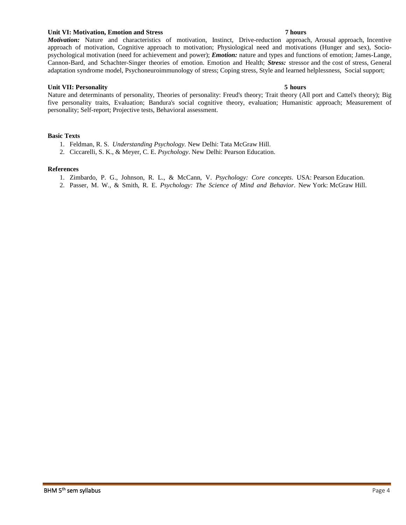# **Unit VI: Motivation, Emotion and Stress 7 hours**

### *Motivation:* Nature and characteristics of motivation, Instinct, Drive-reduction approach, Arousal approach, Incentive approach of motivation, Cognitive approach to motivation; Physiological need and motivations (Hunger and sex), Sociopsychological motivation (need for achievement and power); *Emotion:* nature and types and functions of emotion; James-Lange, Cannon-Bard, and Schachter-Singer theories of emotion. Emotion and Health; *Stress:* stressor and the cost of stress, General adaptation syndrome model, Psychoneuroimmunology of stress; Coping stress, Style and learned helplessness, Social support;

### **Unit VII: Personality 5 hours**

Nature and determinants of personality, Theories of personality: Freud's theory; Trait theory (All port and Cattel's theory); Big five personality traits, Evaluation; Bandura's social cognitive theory, evaluation; Humanistic approach; Measurement of personality; Self-report; Projective tests, Behavioral assessment.

### **Basic Texts**

- 1. Feldman, R. S. *Understanding Psychology.* New Delhi: Tata McGraw Hill.
- 2. Ciccarelli, S. K., & Meyer, C. E. *Psychology*. New Delhi: Pearson Education.

- 1. Zimbardo, P. G., Johnson, R. L., & McCann, V. *Psychology: Core concepts*. USA: Pearson Education.
- 2. Passer, M. W., & Smith, R. E. *Psychology: The Science of Mind and Behavior*. New York: McGraw Hill.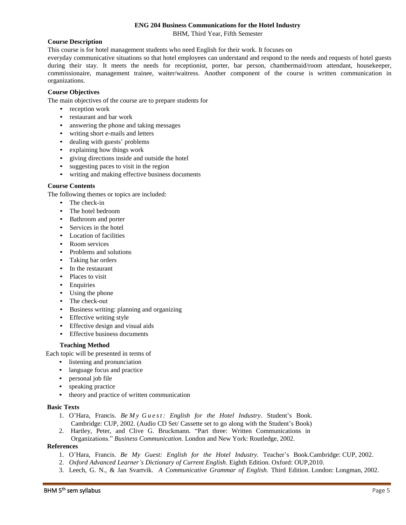# **ENG 204 Business Communications for the Hotel Industry**

BHM, Third Year, Fifth Semester

### **Course Description**

This course is for hotel management students who need English for their work. It focuses on

everyday communicative situations so that hotel employees can understand and respond to the needs and requests of hotel guests during their stay. It meets the needs for receptionist, porter, bar person, chambermaid/room attendant, housekeeper, commissionaire, management trainee, waiter/waitress. Another component of the course is written communication in organizations.

# **Course Objectives**

The main objectives of the course are to prepare students for

- reception work
- restaurant and bar work
- answering the phone and taking messages
- writing short e-mails and letters
- dealing with guests' problems
- explaining how things work
- giving directions inside and outside the hotel
- suggesting paces to visit in the region
- writing and making effective business documents

# **Course Contents**

The following themes or topics are included:

- The check-in
- The hotel bedroom
- Bathroom and porter
- Services in the hotel
- Location of facilities
- Room services
- Problems and solutions
- Taking bar orders
- In the restaurant
- Places to visit
- Enquiries
- Using the phone
- The check-out
- Business writing: planning and organizing
- Effective writing style
- Effective design and visual aids
- Effective business documents

#### **Teaching Method**

Each topic will be presented in terms of

- listening and pronunciation
- language focus and practice
- personal job file
- speaking practice
- theory and practice of written communication

#### **Basic Texts**

- 1. O'Hara, Francis. *Be M y G u e s t : English for the Hotel Industry*. Student's Book. Cambridge: CUP, 2002. (Audio CD Set/ Cassette set to go along with the Student's Book)
- 2. Hartley, Peter, and Clive G. Bruckmann. "Part three: Written Communications in
- Organizations." *Business Communication*. London and New York: Routledge, 2002.

- 1. O'Hara, Francis. *Be My Guest: English for the Hotel Industry.* Teacher's Book.Cambridge: CUP, 2002.
- 2. *Oxford Advanced Learner's Dictionary of Current English*. Eighth Edition. Oxford: OUP,2010.
- 3. Leech, G. N., & Jan Svartvik. *A Communicative Grammar of English*. Third Edition. London: Longman, 2002.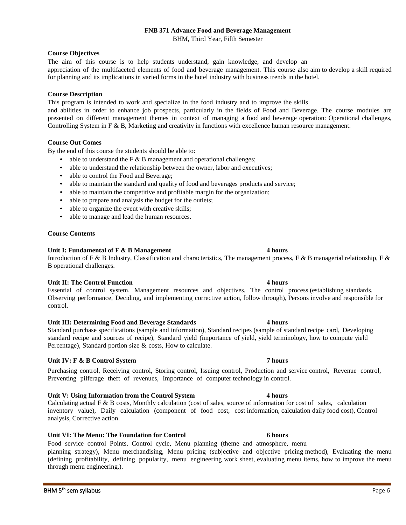# **FNB 371 Advance Food and Beverage Management**

BHM, Third Year, Fifth Semester

# **Course Objectives**

The aim of this course is to help students understand, gain knowledge, and develop an appreciation of the multifaceted elements of food and beverage management. This course also aim to develop a skill required for planning and its implications in varied forms in the hotel industry with business trends in the hotel.

# **Course Description**

This program is intended to work and specialize in the food industry and to improve the skills

and abilities in order to enhance job prospects, particularly in the fields of Food and Beverage. The course modules are presented on different management themes in context of managing a food and beverage operation: Operational challenges, Controlling System in F & B, Marketing and creativity in functions with excellence human resource management.

# **Course Out Comes**

By the end of this course the students should be able to:

- able to understand the  $F \& B$  management and operational challenges;
- able to understand the relationship between the owner, labor and executives;
- able to control the Food and Beverage;
- able to maintain the standard and quality of food and beverages products and service;
- able to maintain the competitive and profitable margin for the organization;
- able to prepare and analysis the budget for the outlets;
- able to organize the event with creative skills;
- able to manage and lead the human resources.

# **Course Contents**

# **Unit I: Fundamental of F & B Management 4 hours**

Introduction of F & B Industry, Classification and characteristics, The management process, F & B managerial relationship, F & B operational challenges.

# **Unit II: The Control Function 4 hours**

Essential of control system, Management resources and objectives, The control process (establishing standards, Observing performance, Deciding, and implementing corrective action, follow through), Persons involve and responsible for control.

# **Unit III: Determining Food and Beverage Standards 4 hours**

Standard purchase specifications (sample and information), Standard recipes (sample of standard recipe card, Developing standard recipe and sources of recipe), Standard yield (importance of yield, yield terminology, how to compute yield Percentage), Standard portion size & costs, How to calculate.

# **Unit IV: F & B Control System 7 hours**

Purchasing control, Receiving control, Storing control, Issuing control, Production and service control, Revenue control, Preventing pilferage theft of revenues, Importance of computer technology in control.

# **Unit V: Using Information from the Control System 4 hours**

Calculating actual F & B costs, Monthly calculation (cost of sales, source of information for cost of sales, calculation inventory value), Daily calculation (component of food cost, cost information, calculation daily food cost), Control analysis, Corrective action.

# **Unit VI: The Menu: The Foundation for Control 6 hours**

Food service control Points, Control cycle, Menu planning (theme and atmosphere, menu planning strategy), Menu merchandising, Menu pricing (subjective and objective pricing method), Evaluating the menu (defining profitability, defining popularity, menu engineering work sheet, evaluating menu items, how to improve the menu through menu engineering.).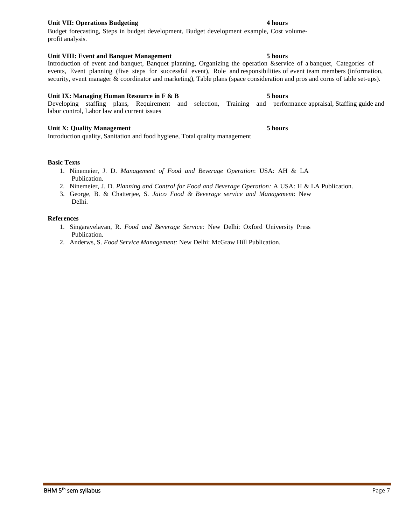# **Unit VII:** Operations Budgeting 4 hours

### Budget forecasting, Steps in budget development, Budget development example, Cost volumeprofit analysis.

### **Unit VIII: Event and Banquet Management 5 hours**

### Introduction of event and banquet, Banquet planning, Organizing the operation &service of a banquet, Categories of events, Event planning (five steps for successful event), Role and responsibilities of event team members (information, security, event manager & coordinator and marketing), Table plans (space consideration and pros and corns of table set-ups).

### **Unit IX: Managing Human Resource in F & B 5 hours**

Developing staffing plans, Requirement and selection, Training and performance appraisal, Staffing guide and labor control, Labor law and current issues

# **Unit X:** Quality Management 5 hours

Introduction quality, Sanitation and food hygiene, Total quality management

### **Basic Texts**

- 1. Ninemeier, J. D. *Management of Food and Beverage Operation*: USA: AH & LA Publication.
- 2. Ninemeier, J. D. *Planning and Control for Food and Beverage Operation:* A USA: H & LA Publication.
- 3. George, B. & Chatterjee, S. *Jaico Food & Beverage service and Management*: New Delhi.

- 1. Singaravelavan, R. *Food and Beverage Service:* New Delhi: Oxford University Press Publication.
- 2. Anderws, S. *Food Service Management:* New Delhi: McGraw Hill Publication.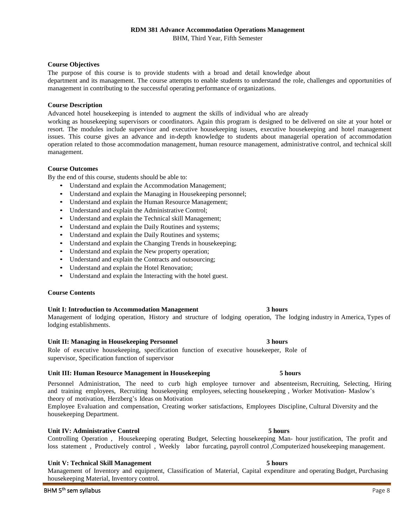# **RDM 381 Advance Accommodation Operations Management**

BHM, Third Year, Fifth Semester

### **Course Objectives**

The purpose of this course is to provide students with a broad and detail knowledge about department and its management. The course attempts to enable students to understand the role, challenges and opportunities of management in contributing to the successful operating performance of organizations.

### **Course Description**

Advanced hotel housekeeping is intended to augment the skills of individual who are already

working as housekeeping supervisors or coordinators. Again this program is designed to be delivered on site at your hotel or resort. The modules include supervisor and executive housekeeping issues, executive housekeeping and hotel management issues. This course gives an advance and in-depth knowledge to students about managerial operation of accommodation operation related to those accommodation management, human resource management, administrative control, and technical skill management.

### **Course Outcomes**

By the end of this course, students should be able to:

- Understand and explain the Accommodation Management;
- Understand and explain the Managing in Housekeeping personnel;
- Understand and explain the Human Resource Management;
- Understand and explain the Administrative Control;
- Understand and explain the Technical skill Management;
- Understand and explain the Daily Routines and systems;
- Understand and explain the Daily Routines and systems;
- Understand and explain the Changing Trends in housekeeping;
- Understand and explain the New property operation;
- Understand and explain the Contracts and outsourcing;
- Understand and explain the Hotel Renovation;
- Understand and explain the Interacting with the hotel guest.

#### **Course Contents**

#### **Unit I: Introduction to Accommodation Management 3 hours**

Management of lodging operation, History and structure of lodging operation, The lodging industry in America, Types of lodging establishments.

# **Unit II: Managing in Housekeeping Personnel 3 hours**

Role of executive housekeeping, specification function of executive housekeeper, Role of supervisor, Specification function of supervisor

# **Unit III: Human Resource Management in Housekeeping 5 hours**

Personnel Administration, The need to curb high employee turnover and absenteeism, Recruiting, Selecting, Hiring and training employees, Recruiting housekeeping employees, selecting housekeeping , Worker Motivation- Maslow's theory of motivation, Herzberg's Ideas on Motivation

Employee Evaluation and compensation, Creating worker satisfactions, Employees Discipline, Cultural Diversity and the housekeeping Department.

# **Unit IV: Administrative Control 5 hours**

Controlling Operation , Housekeeping operating Budget, Selecting housekeeping Man- hour justification, The profit and loss statement , Productively control , Weekly labor furcating, payroll control ,Computerized housekeeping management.

# **Unit V: Technical Skill Management 5 hours**

Management of Inventory and equipment, Classification of Material, Capital expenditure and operating Budget, Purchasing housekeeping Material, Inventory control.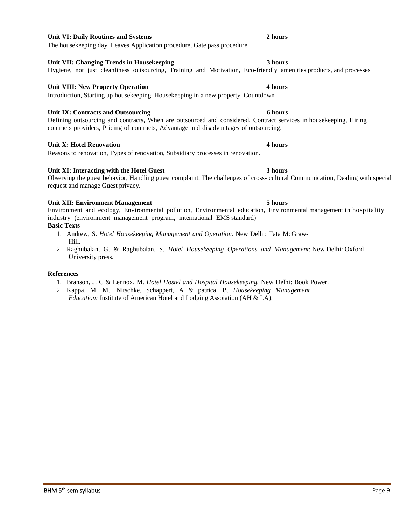# **Unit VI: Daily Routines and Systems 2 hours**

The housekeeping day, Leaves Application procedure, Gate pass procedure

### **Unit VII: Changing Trends in Housekeeping 3 hours**

# **Unit VIII: New Property Operation 4 hours**

Introduction, Starting up housekeeping, Housekeeping in a new property, Countdown

# **Unit IX: Contracts and Outsourcing 6 hours**

Defining outsourcing and contracts, When are outsourced and considered, Contract services in housekeeping, Hiring contracts providers, Pricing of contracts, Advantage and disadvantages of outsourcing.

# **Unit X: Hotel Renovation** 4 **hours** 4 **hours**

Reasons to renovation, Types of renovation, Subsidiary processes in renovation.

# **Unit XI: Interacting with the Hotel Guest 3 hours**

Observing the guest behavior, Handling guest complaint, The challenges of cross- cultural Communication, Dealing with special request and manage Guest privacy.

# **Unit XII: Environment Management 5 hours**

Environment and ecology, Environmental pollution, Environmental education, Environmental management in hospitality industry (environment management program, international EMS standard)

- **Basic Texts**
	- 1. Andrew, S. *Hotel Housekeeping Management and Operation.* New Delhi: Tata McGraw-Hill.
	- 2. Raghubalan, G. & Raghubalan, S. *Hotel Housekeeping Operations and Management*: New Delhi: Oxford University press.

# **References**

- 1. Branson, J. C & Lennox, M. *Hotel Hostel and Hospital Housekeeping.* New Delhi: Book Power.
- 2. Kappa, M. M., Nitschke, Schappert, A & patrica, B. *Housekeeping Management Education:* Institute of American Hotel and Lodging Assoiation (AH & LA).

Hygiene, not just cleanliness outsourcing, Training and Motivation, Eco-friendly amenities products, and processes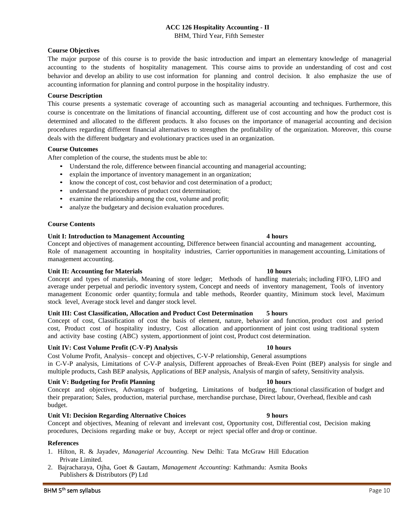# **ACC 126 Hospitality Accounting - II**

BHM, Third Year, Fifth Semester

# **Course Objectives**

The major purpose of this course is to provide the basic introduction and impart an elementary knowledge of managerial accounting to the students of hospitality management. This course aims to provide an understanding of cost and cost behavior and develop an ability to use cost information for planning and control decision. It also emphasize the use of accounting information for planning and control purpose in the hospitality industry.

# **Course Description**

This course presents a systematic coverage of accounting such as managerial accounting and techniques. Furthermore, this course is concentrate on the limitations of financial accounting, different use of cost accounting and how the product cost is determined and allocated to the different products. It also focuses on the importance of managerial accounting and decision procedures regarding different financial alternatives to strengthen the profitability of the organization. Moreover, this course deals with the different budgetary and evolutionary practices used in an organization.

# **Course Outcomes**

After completion of the course, the students must be able to:

- Understand the role, difference between financial accounting and managerial accounting;
- explain the importance of inventory management in an organization;
- know the concept of cost, cost behavior and cost determination of a product;
- understand the procedures of product cost determination;
- examine the relationship among the cost, volume and profit;
- analyze the budgetary and decision evaluation procedures.

# **Course Contents**

# **Unit I: Introduction to Management Accounting 4 hours**

Concept and objectives of management accounting, Difference between financial accounting and management accounting, Role of management accounting in hospitality industries, Carrier opportunities in management accounting, Limitations of management accounting.

# **Unit II: Accounting for Materials 10 hours 10 hours**

Concept and types of materials, Meaning of store ledger; Methods of handling materials; including FIFO, LIFO and average under perpetual and periodic inventory system, Concept and needs of inventory management, Tools of inventory management Economic order quantity; formula and table methods, Reorder quantity, Minimum stock level, Maximum stock level, Average stock level and danger stock level.

# **Unit III: Cost Classification, Allocation and Product Cost Determination 5 hours**

Concept of cost, Classification of cost the basis of element, nature, behavior and function, product cost and period cost, Product cost of hospitality industry, Cost allocation and apportionment of joint cost using traditional system and activity base costing (ABC) system, apportionment of joint cost, Product cost determination.

# **Unit IV: Cost Volume Profit (C-V-P) Analysis 10 hours**

Cost Volume Profit, Analysis– concept and objectives, C-V-P relationship, General assumptions in C-V-P analysis, Limitations of C-V-P analysis, Different approaches of Break-Even Point (BEP) analysis for single and multiple products, Cash BEP analysis, Applications of BEP analysis, Analysis of margin of safety, Sensitivity analysis.

# **Unit V: Budgeting for Profit Planning 10 hours**

Concept and objectives, Advantages of budgeting, Limitations of budgeting, functional classification of budget and their preparation; Sales, production, material purchase, merchandise purchase, Direct labour, Overhead, flexible and cash budget.

# **Unit VI: Decision Regarding Alternative Choices 9 hours**

Concept and objectives, Meaning of relevant and irrelevant cost, Opportunity cost, Differential cost, Decision making procedures, Decisions regarding make or buy, Accept or reject special offer and drop or continue.

- 1. Hilton, R. & Jayadev, *Managerial Accounting.* New Delhi: Tata McGraw Hill Education Private Limited.
- 2. Bajracharaya, Ojha, Goet & Gautam, *Management Accounting*: Kathmandu: Asmita Books Publishers & Distributors (P) Ltd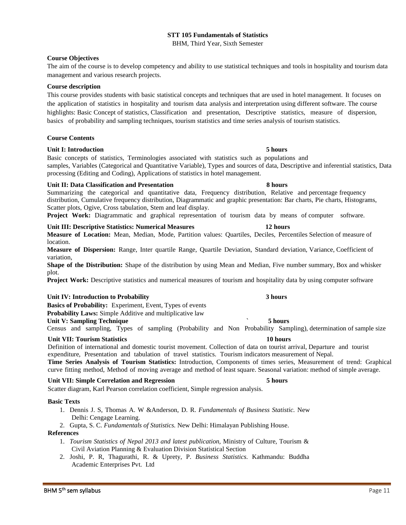# **STT 105 Fundamentals of Statistics**

BHM, Third Year, Sixth Semester

### **Course Objectives**

The aim of the course is to develop competency and ability to use statistical techniques and tools in hospitality and tourism data management and various research projects.

### **Course description**

This course provides students with basic statistical concepts and techniques that are used in hotel management. It focuses on the application of statistics in hospitality and tourism data analysis and interpretation using different software. The course highlights: Basic Concept of statistics, Classification and presentation, Descriptive statistics, measure of dispersion, basics of probability and sampling techniques, tourism statistics and time series analysis of tourism statistics.

### **Course Contents**

### **Unit I: Introduction 5 hours**

Basic concepts of statistics, Terminologies associated with statistics such as populations and samples, Variables (Categorical and Quantitative Variable), Types and sources of data, Descriptive and inferential statistics, Data processing (Editing and Coding), Applications of statistics in hotel management.

### **Unit II: Data Classification and Presentation 8 hours**

Summarizing the categorical and quantitative data, Frequency distribution, Relative and percentage frequency distribution, Cumulative frequency distribution, Diagrammatic and graphic presentation: Bar charts, Pie charts, Histograms, Scatter plots, Ogive, Cross tabulation, Stem and leaf display.

**Project Work:** Diagrammatic and graphical representation of tourism data by means of computer software.

#### **Unit III: Descriptive Statistics: Numerical Measures 12 hours**

**Measure of Location:** Mean, Median, Mode, Partition values: Quartiles, Deciles, Percentiles Selection of measure of location.

**Measure of Dispersion:** Range, Inter quartile Range, Quartile Deviation, Standard deviation, Variance, Coefficient of variation,

**Shape of the Distribution:** Shape of the distribution by using Mean and Median, Five number summary, Box and whisker plot.

**Project Work:** Descriptive statistics and numerical measures of tourism and hospitality data by using computer software

#### **Unit IV: Introduction to Probability 3 hours**

**Basics of Probability:** Experiment, Event, Types of events

**Probability Laws:** Simple Additive and multiplicative law

#### **Unit V:** Sampling Technique **5 hours 5 hours**

Census and sampling, Types of sampling (Probability and Non Probability Sampling), determination of sample size

# **Unit VII: Tourism Statistics 10 hours**

Definition of international and domestic tourist movement. Collection of data on tourist arrival, Departure and tourist expenditure, Presentation and tabulation of travel statistics. Tourism indicators measurement of Nepal.

**Time Series Analysis of Tourism Statistics:** Introduction, Components of times series, Measurement of trend: Graphical curve fitting method, Method of moving average and method of least square. Seasonal variation: method of simple average.

#### **Unit VII: Simple Correlation and Regression 5 hours**

Scatter diagram, Karl Pearson correlation coefficient, Simple regression analysis.

#### **Basic Texts**

1. Dennis J. S, Thomas A. W &Anderson, D. R. *Fundamentals of Business Statistic.* New Delhi: Cengage Learning.

2. Gupta, S. C. *Fundamentals of Statistics.* New Delhi: Himalayan Publishing House.

- 1. *Tourism Statistics of Nepal 2013 and latest publication,* Ministry of Culture, Tourism & Civil Aviation Planning & Evaluation Division Statistical Section
- 2. Joshi, P. R, Thagurathi, R. & Uprety, P. *Business Statistics.* Kathmandu: Buddha Academic Enterprises Pvt. Ltd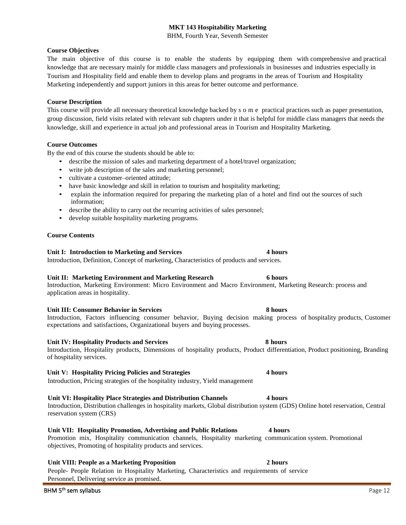# **MKT 143 Hospitability Marketing**

BHM, Fourth Year, Seventh Semester

### **Course Objectives**

The main objective of this course is to enable the students by equipping them with comprehensive and practical knowledge that are necessary mainly for middle class managers and professionals in businesses and industries especially in Tourism and Hospitality field and enable them to develop plans and programs in the areas of Tourism and Hospitality Marketing independently and support juniors in this areas for better outcome and performance.

### **Course Description**

This course will provide all necessary theoretical knowledge backed by s o m e practical practices such as paper presentation, group discussion, field visits related with relevant sub chapters under it that is helpful for middle class managers that needs the knowledge, skill and experience in actual job and professional areas in Tourism and Hospitality Marketing.

### **Course Outcomes**

By the end of this course the students should be able to:

- describe the mission of sales and marketing department of a hotel/travel organization;
- write job description of the sales and marketing personnel;
- cultivate a customer–oriented attitude;
- have basic knowledge and skill in relation to tourism and hospitality marketing;
- explain the information required for preparing the marketing plan of a hotel and find out the sources of such information;
- describe the ability to carry out the recurring activities of sales personnel;
- develop suitable hospitality marketing programs.

### **Course Contents**

### **Unit I: Introduction to Marketing and Services 4 hours**

Introduction, Definition, Concept of marketing, Characteristics of products and services.

# **Unit II: Marketing Environment and Marketing Research 6 hours**

Introduction, Marketing Environment: Micro Environment and Macro Environment, Marketing Research: process and application areas in hospitality.

#### **Unit III: Consumer Behavior in Services 8 hours**

Introduction, Factors influencing consumer behavior, Buying decision making process of hospitality products, Customer expectations and satisfactions, Organizational buyers and buying processes.

# **Unit IV: Hospitality Products and Services 8 hours**

# Introduction, Hospitality products, Dimensions of hospitality products, Product differentiation, Product positioning, Branding of hospitality services.

# **Unit V: Hospitality Pricing Policies and Strategies 4 hours**

Introduction, Pricing strategies of the hospitality industry, Yield management

# **Unit VI: Hospitality Place Strategies and Distribution Channels 4 hours**

Introduction, Distribution challenges in hospitality markets, Global distribution system (GDS) Online hotel reservation, Central reservation system (CRS)

# **Unit VII: Hospitality Promotion, Advertising and Public Relations 4 hours**

# **Unit VIII: People as a Marketing Proposition 2 hours**

People- People Relation in Hospitality Marketing, Characteristics and requirements of service Personnel, Delivering service as promised.